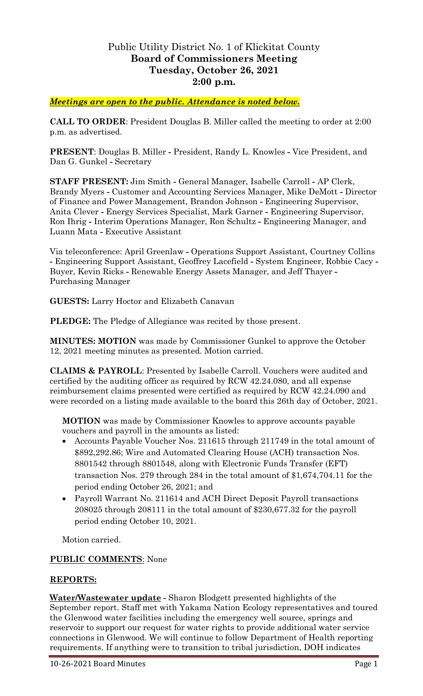## Public Utility District No. 1 of Klickitat County **Board of Commissioners Meeting Tuesday, October 26, 2021 2:00 p.m.**

## *Meetings are open to the public. Attendance is noted below.*

**CALL TO ORDER**: President Douglas B. Miller called the meeting to order at 2:00 p.m. as advertised.

**PRESENT**: Douglas B. Miller **-** President, Randy L. Knowles **-** Vice President, and Dan G. Gunkel **-** Secretary

**STAFF PRESENT:** Jim Smith **-** General Manager, Isabelle Carroll **-** AP Clerk, Brandy Myers **-** Customer and Accounting Services Manager, Mike DeMott **-** Director of Finance and Power Management, Brandon Johnson **-** Engineering Supervisor, Anita Clever **-** Energy Services Specialist, Mark Garner **-** Engineering Supervisor, Ron Ihrig **-** Interim Operations Manager, Ron Schultz **-** Engineering Manager, and Luann Mata **-** Executive Assistant

Via teleconference: April Greenlaw **-** Operations Support Assistant, Courtney Collins **-** Engineering Support Assistant, Geoffrey Lacefield **-** System Engineer, Robbie Cacy **-** Buyer, Kevin Ricks **-** Renewable Energy Assets Manager, and Jeff Thayer **-** Purchasing Manager

**GUESTS:** Larry Hoctor and Elizabeth Canavan

**PLEDGE:** The Pledge of Allegiance was recited by those present.

**MINUTES: MOTION** was made by Commissioner Gunkel to approve the October 12, 2021 meeting minutes as presented. Motion carried.

**CLAIMS & PAYROLL**: Presented by Isabelle Carroll. Vouchers were audited and certified by the auditing officer as required by RCW 42.24.080, and all expense reimbursement claims presented were certified as required by RCW 42.24.090 and were recorded on a listing made available to the board this 26th day of October, 2021.

**MOTION** was made by Commissioner Knowles to approve accounts payable vouchers and payroll in the amounts as listed:

- Accounts Payable Voucher Nos. 211615 through 211749 in the total amount of \$892,292.86; Wire and Automated Clearing House (ACH) transaction Nos. 8801542 through 8801548, along with Electronic Funds Transfer (EFT) transaction Nos. 279 through 284 in the total amount of \$1,674,704.11 for the period ending October 26, 2021; and
- Payroll Warrant No. 211614 and ACH Direct Deposit Payroll transactions 208025 through 208111 in the total amount of \$230,677.32 for the payroll period ending October 10, 2021.

Motion carried.

## **PUBLIC COMMENTS**: None

## **REPORTS:**

**Water/Wastewater update -** Sharon Blodgett presented highlights of the September report. Staff met with Yakama Nation Ecology representatives and toured the Glenwood water facilities including the emergency well source, springs and reservoir to support our request for water rights to provide additional water service connections in Glenwood. We will continue to follow Department of Health reporting requirements. If anything were to transition to tribal jurisdiction, DOH indicates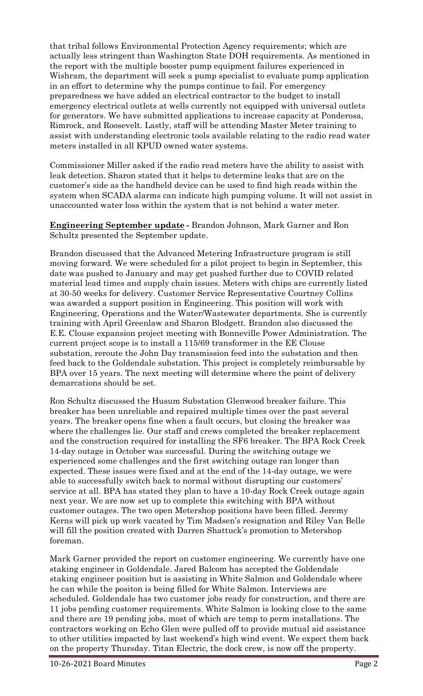that tribal follows Environmental Protection Agency requirements; which are actually less stringent than Washington State DOH requirements. As mentioned in the report with the multiple booster pump equipment failures experienced in Wishram, the department will seek a pump specialist to evaluate pump application in an effort to determine why the pumps continue to fail. For emergency preparedness we have added an electrical contractor to the budget to install emergency electrical outlets at wells currently not equipped with universal outlets for generators. We have submitted applications to increase capacity at Ponderosa, Rimrock, and Roosevelt. Lastly, staff will be attending Master Meter training to assist with understanding electronic tools available relating to the radio read water meters installed in all KPUD owned water systems.

Commissioner Miller asked if the radio read meters have the ability to assist with leak detection. Sharon stated that it helps to determine leaks that are on the customer's side as the handheld device can be used to find high reads within the system when SCADA alarms can indicate high pumping volume. It will not assist in unaccounted water loss within the system that is not behind a water meter.

**Engineering September update -** Brandon Johnson, Mark Garner and Ron Schultz presented the September update.

Brandon discussed that the Advanced Metering Infrastructure program is still moving forward. We were scheduled for a pilot project to begin in September, this date was pushed to January and may get pushed further due to COVID related material lead times and supply chain issues. Meters with chips are currently listed at 30-50 weeks for delivery. Customer Service Representative Courtney Collins was awarded a support position in Engineering. This position will work with Engineering, Operations and the Water/Wastewater departments. She is currently training with April Greenlaw and Sharon Blodgett. Brandon also discussed the E.E. Clouse expansion project meeting with Bonneville Power Administration. The current project scope is to install a 115/69 transformer in the EE Clouse substation, reroute the John Day transmission feed into the substation and then feed back to the Goldendale substation. This project is completely reimbursable by BPA over 15 years. The next meeting will determine where the point of delivery demarcations should be set.

Ron Schultz discussed the Husum Substation Glenwood breaker failure. This breaker has been unreliable and repaired multiple times over the past several years. The breaker opens fine when a fault occurs, but closing the breaker was where the challenges lie. Our staff and crews completed the breaker replacement and the construction required for installing the SF6 breaker. The BPA Rock Creek 14-day outage in October was successful. During the switching outage we experienced some challenges and the first switching outage ran longer than expected. These issues were fixed and at the end of the 14-day outage, we were able to successfully switch back to normal without disrupting our customers' service at all. BPA has stated they plan to have a 10-day Rock Creek outage again next year. We are now set up to complete this switching with BPA without customer outages. The two open Metershop positions have been filled. Jeremy Kerns will pick up work vacated by Tim Madsen's resignation and Riley Van Belle will fill the position created with Darren Shattuck's promotion to Metershop foreman.

Mark Garner provided the report on customer engineering. We currently have one staking engineer in Goldendale. Jared Balcom has accepted the Goldendale staking engineer position but is assisting in White Salmon and Goldendale where he can while the positon is being filled for White Salmon. Interviews are scheduled. Goldendale has two customer jobs ready for construction, and there are 11 jobs pending customer requirements. White Salmon is looking close to the same and there are 19 pending jobs, most of which are temp to perm installations. The contractors working on Echo Glen were pulled off to provide mutual aid assistance to other utilities impacted by last weekend's high wind event. We expect them back on the property Thursday. Titan Electric, the dock crew, is now off the property.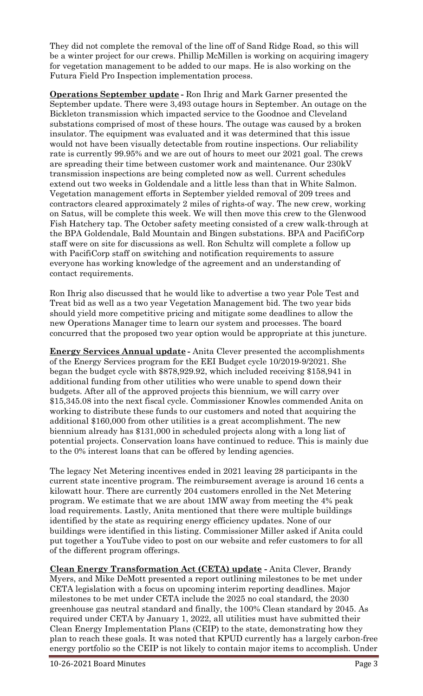They did not complete the removal of the line off of Sand Ridge Road, so this will be a winter project for our crews. Phillip McMillen is working on acquiring imagery for vegetation management to be added to our maps. He is also working on the Futura Field Pro Inspection implementation process.

**Operations September update -** Ron Ihrig and Mark Garner presented the September update. There were 3,493 outage hours in September. An outage on the Bickleton transmission which impacted service to the Goodnoe and Cleveland substations comprised of most of these hours. The outage was caused by a broken insulator. The equipment was evaluated and it was determined that this issue would not have been visually detectable from routine inspections. Our reliability rate is currently 99.95% and we are out of hours to meet our 2021 goal. The crews are spreading their time between customer work and maintenance. Our 230kV transmission inspections are being completed now as well. Current schedules extend out two weeks in Goldendale and a little less than that in White Salmon. Vegetation management efforts in September yielded removal of 209 trees and contractors cleared approximately 2 miles of rights-of way. The new crew, working on Satus, will be complete this week. We will then move this crew to the Glenwood Fish Hatchery tap. The October safety meeting consisted of a crew walk-through at the BPA Goldendale, Bald Mountain and Bingen substations. BPA and PacifiCorp staff were on site for discussions as well. Ron Schultz will complete a follow up with PacifiCorp staff on switching and notification requirements to assure everyone has working knowledge of the agreement and an understanding of contact requirements.

Ron Ihrig also discussed that he would like to advertise a two year Pole Test and Treat bid as well as a two year Vegetation Management bid. The two year bids should yield more competitive pricing and mitigate some deadlines to allow the new Operations Manager time to learn our system and processes. The board concurred that the proposed two year option would be appropriate at this juncture.

**Energy Services Annual update -** Anita Clever presented the accomplishments of the Energy Services program for the EEI Budget cycle 10/2019-9/2021. She began the budget cycle with \$878,929.92, which included receiving \$158,941 in additional funding from other utilities who were unable to spend down their budgets. After all of the approved projects this biennium, we will carry over \$15,345.08 into the next fiscal cycle. Commissioner Knowles commended Anita on working to distribute these funds to our customers and noted that acquiring the additional \$160,000 from other utilities is a great accomplishment. The new biennium already has \$131,000 in scheduled projects along with a long list of potential projects. Conservation loans have continued to reduce. This is mainly due to the 0% interest loans that can be offered by lending agencies.

The legacy Net Metering incentives ended in 2021 leaving 28 participants in the current state incentive program. The reimbursement average is around 16 cents a kilowatt hour. There are currently 204 customers enrolled in the Net Metering program. We estimate that we are about 1MW away from meeting the 4% peak load requirements. Lastly, Anita mentioned that there were multiple buildings identified by the state as requiring energy efficiency updates. None of our buildings were identified in this listing. Commissioner Miller asked if Anita could put together a YouTube video to post on our website and refer customers to for all of the different program offerings.

**Clean Energy Transformation Act (CETA) update -** Anita Clever, Brandy Myers, and Mike DeMott presented a report outlining milestones to be met under CETA legislation with a focus on upcoming interim reporting deadlines. Major milestones to be met under CETA include the 2025 no coal standard, the 2030 greenhouse gas neutral standard and finally, the 100% Clean standard by 2045. As required under CETA by January 1, 2022, all utilities must have submitted their Clean Energy Implementation Plans (CEIP) to the state, demonstrating how they plan to reach these goals. It was noted that KPUD currently has a largely carbon-free energy portfolio so the CEIP is not likely to contain major items to accomplish. Under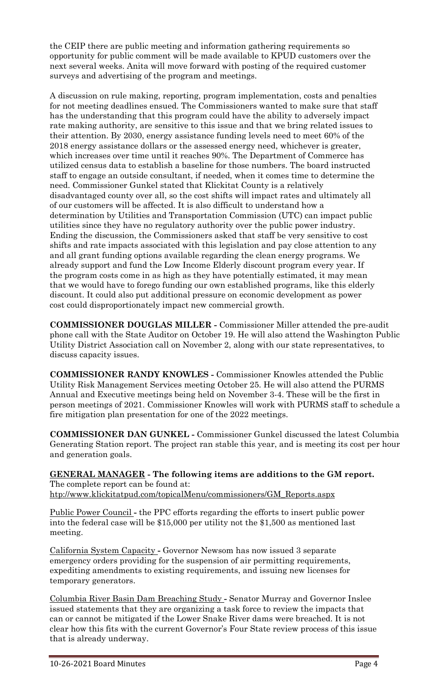the CEIP there are public meeting and information gathering requirements so opportunity for public comment will be made available to KPUD customers over the next several weeks. Anita will move forward with posting of the required customer surveys and advertising of the program and meetings.

A discussion on rule making, reporting, program implementation, costs and penalties for not meeting deadlines ensued. The Commissioners wanted to make sure that staff has the understanding that this program could have the ability to adversely impact rate making authority, are sensitive to this issue and that we bring related issues to their attention. By 2030, energy assistance funding levels need to meet 60% of the 2018 energy assistance dollars or the assessed energy need, whichever is greater, which increases over time until it reaches 90%. The Department of Commerce has utilized census data to establish a baseline for those numbers. The board instructed staff to engage an outside consultant, if needed, when it comes time to determine the need. Commissioner Gunkel stated that Klickitat County is a relatively disadvantaged county over all, so the cost shifts will impact rates and ultimately all of our customers will be affected. It is also difficult to understand how a determination by Utilities and Transportation Commission (UTC) can impact public utilities since they have no regulatory authority over the public power industry. Ending the discussion, the Commissioners asked that staff be very sensitive to cost shifts and rate impacts associated with this legislation and pay close attention to any and all grant funding options available regarding the clean energy programs. We already support and fund the Low Income Elderly discount program every year. If the program costs come in as high as they have potentially estimated, it may mean that we would have to forego funding our own established programs, like this elderly discount. It could also put additional pressure on economic development as power cost could disproportionately impact new commercial growth.

**COMMISSIONER DOUGLAS MILLER -** Commissioner Miller attended the pre-audit phone call with the State Auditor on October 19. He will also attend the Washington Public Utility District Association call on November 2, along with our state representatives, to discuss capacity issues.

**COMMISSIONER RANDY KNOWLES -** Commissioner Knowles attended the Public Utility Risk Management Services meeting October 25. He will also attend the PURMS Annual and Executive meetings being held on November 3-4. These will be the first in person meetings of 2021. Commissioner Knowles will work with PURMS staff to schedule a fire mitigation plan presentation for one of the 2022 meetings.

**COMMISSIONER DAN GUNKEL -** Commissioner Gunkel discussed the latest Columbia Generating Station report. The project ran stable this year, and is meeting its cost per hour and generation goals.

**GENERAL MANAGER - The following items are additions to the GM report.** The complete report can be found at: [htp://www.klickitatpud.com/topicalMenu/commissioners/GM\\_Reports.aspx](http://www.klickitatpud.com/topicalMenu/commissioners/GM_Reports.aspx)

Public Power Council **-** the PPC efforts regarding the efforts to insert public power into the federal case will be \$15,000 per utility not the \$1,500 as mentioned last meeting.

California System Capacity **-** Governor Newsom has now issued 3 separate emergency orders providing for the suspension of air permitting requirements, expediting amendments to existing requirements, and issuing new licenses for temporary generators.

Columbia River Basin Dam Breaching Study **-** Senator Murray and Governor Inslee issued statements that they are organizing a task force to review the impacts that can or cannot be mitigated if the Lower Snake River dams were breached. It is not clear how this fits with the current Governor's Four State review process of this issue that is already underway.